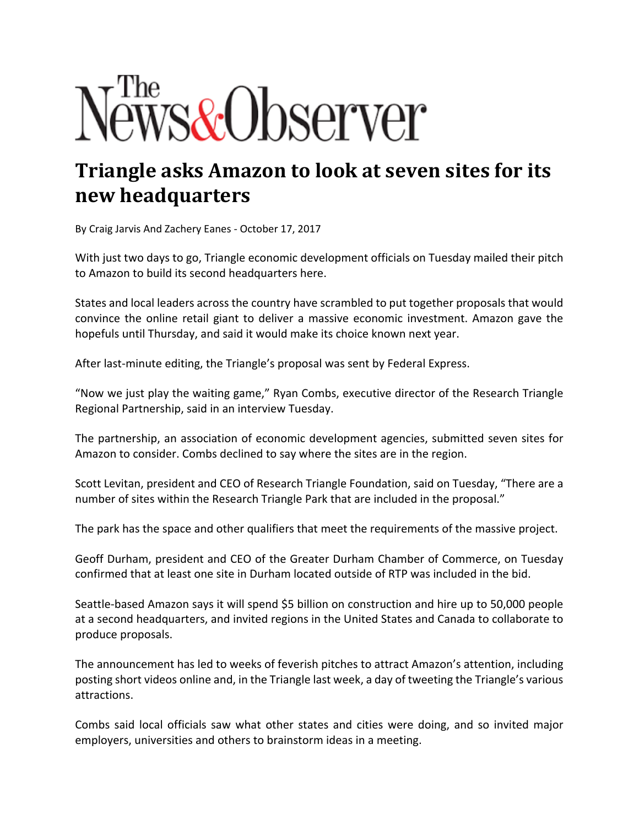## *ws&Observer*

## **Triangle asks Amazon to look at seven sites for its new headquarters**

By Craig Jarvis And Zachery Eanes ‐ October 17, 2017

With just two days to go, Triangle economic development officials on Tuesday mailed their pitch to Amazon to build its second headquarters here.

States and local leaders across the country have scrambled to put together proposals that would convince the online retail giant to deliver a massive economic investment. Amazon gave the hopefuls until Thursday, and said it would make its choice known next year.

After last‐minute editing, the Triangle's proposal was sent by Federal Express.

"Now we just play the waiting game," Ryan Combs, executive director of the Research Triangle Regional Partnership, said in an interview Tuesday.

The partnership, an association of economic development agencies, submitted seven sites for Amazon to consider. Combs declined to say where the sites are in the region.

Scott Levitan, president and CEO of Research Triangle Foundation, said on Tuesday, "There are a number of sites within the Research Triangle Park that are included in the proposal."

The park has the space and other qualifiers that meet the requirements of the massive project.

Geoff Durham, president and CEO of the Greater Durham Chamber of Commerce, on Tuesday confirmed that at least one site in Durham located outside of RTP was included in the bid.

Seattle‐based Amazon says it will spend \$5 billion on construction and hire up to 50,000 people at a second headquarters, and invited regions in the United States and Canada to collaborate to produce proposals.

The announcement has led to weeks of feverish pitches to attract Amazon's attention, including posting short videos online and, in the Triangle last week, a day of tweeting the Triangle's various attractions.

Combs said local officials saw what other states and cities were doing, and so invited major employers, universities and others to brainstorm ideas in a meeting.